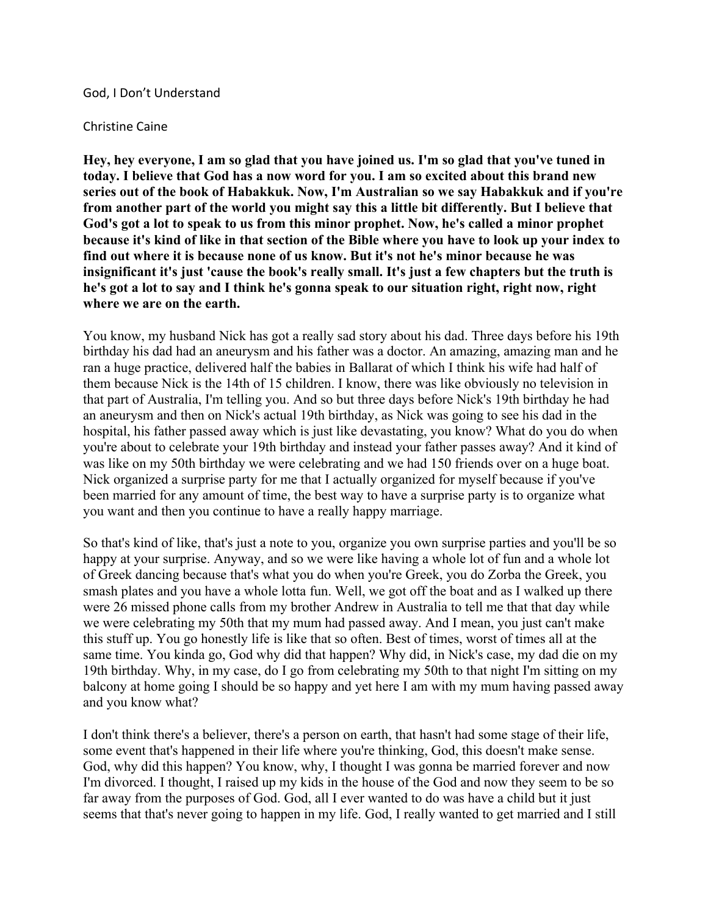## God, I Don't Understand

## Christine Caine

**Hey, hey everyone, I am so glad that you have joined us. I'm so glad that you've tuned in today. I believe that God has a now word for you. I am so excited about this brand new series out of the book of Habakkuk. Now, I'm Australian so we say Habakkuk and if you're from another part of the world you might say this a little bit differently. But I believe that God's got a lot to speak to us from this minor prophet. Now, he's called a minor prophet** because it's kind of like in that section of the Bible where you have to look up your index to **find out where it is because none of us know. But it's not he's minor because he was insignificant it's just 'cause the book's really small. It's just a few chapters but the truth is he's got a lot to say and I think he's gonna speak to our situation right, right now, right where we are on the earth.**

You know, my husband Nick has got a really sad story about his dad. Three days before his 19th birthday his dad had an aneurysm and his father was a doctor. An amazing, amazing man and he ran a huge practice, delivered half the babies in Ballarat of which I think his wife had half of them because Nick is the 14th of 15 children. I know, there was like obviously no television in that part of Australia, I'm telling you. And so but three days before Nick's 19th birthday he had an aneurysm and then on Nick's actual 19th birthday, as Nick was going to see his dad in the hospital, his father passed away which is just like devastating, you know? What do you do when you're about to celebrate your 19th birthday and instead your father passes away? And it kind of was like on my 50th birthday we were celebrating and we had 150 friends over on a huge boat. Nick organized a surprise party for me that I actually organized for myself because if you've been married for any amount of time, the best way to have a surprise party is to organize what you want and then you continue to have a really happy marriage.

So that's kind of like, that's just a note to you, organize you own surprise parties and you'll be so happy at your surprise. Anyway, and so we were like having a whole lot of fun and a whole lot of Greek dancing because that's what you do when you're Greek, you do Zorba the Greek, you smash plates and you have a whole lotta fun. Well, we got off the boat and as I walked up there were 26 missed phone calls from my brother Andrew in Australia to tell me that that day while we were celebrating my 50th that my mum had passed away. And I mean, you just can't make this stuff up. You go honestly life is like that so often. Best of times, worst of times all at the same time. You kinda go, God why did that happen? Why did, in Nick's case, my dad die on my 19th birthday. Why, in my case, do I go from celebrating my 50th to that night I'm sitting on my balcony at home going I should be so happy and yet here I am with my mum having passed away and you know what?

I don't think there's a believer, there's a person on earth, that hasn't had some stage of their life, some event that's happened in their life where you're thinking, God, this doesn't make sense. God, why did this happen? You know, why, I thought I was gonna be married forever and now I'm divorced. I thought, I raised up my kids in the house of the God and now they seem to be so far away from the purposes of God. God, all I ever wanted to do was have a child but it just seems that that's never going to happen in my life. God, I really wanted to get married and I still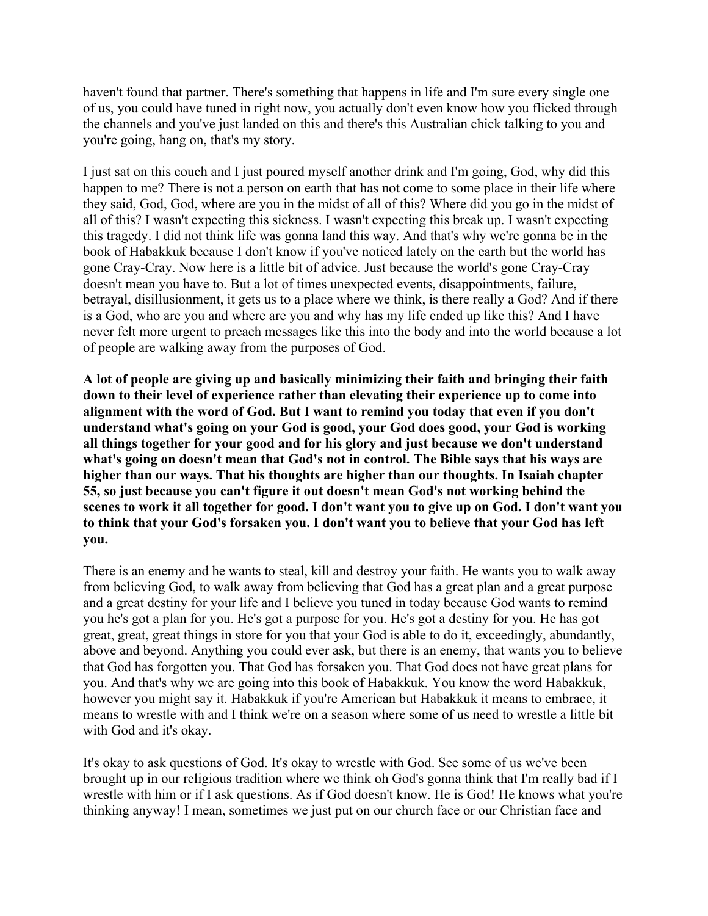haven't found that partner. There's something that happens in life and I'm sure every single one of us, you could have tuned in right now, you actually don't even know how you flicked through the channels and you've just landed on this and there's this Australian chick talking to you and you're going, hang on, that's my story.

I just sat on this couch and I just poured myself another drink and I'm going, God, why did this happen to me? There is not a person on earth that has not come to some place in their life where they said, God, God, where are you in the midst of all of this? Where did you go in the midst of all of this? I wasn't expecting this sickness. I wasn't expecting this break up. I wasn't expecting this tragedy. I did not think life was gonna land this way. And that's why we're gonna be in the book of Habakkuk because I don't know if you've noticed lately on the earth but the world has gone Cray-Cray. Now here is a little bit of advice. Just because the world's gone Cray-Cray doesn't mean you have to. But a lot of times unexpected events, disappointments, failure, betrayal, disillusionment, it gets us to a place where we think, is there really a God? And if there is a God, who are you and where are you and why has my life ended up like this? And I have never felt more urgent to preach messages like this into the body and into the world because a lot of people are walking away from the purposes of God.

**A lot of people are giving up and basically minimizing their faith and bringing their faith down to their level of experience rather than elevating their experience up to come into alignment with the word of God. But I want to remind you today that even if you don't understand what's going on your God is good, your God does good, your God is working all things together for your good and for his glory and just because we don't understand what's going on doesn't mean that God's not in control. The Bible says that his ways are higher than our ways. That his thoughts are higher than our thoughts. In Isaiah chapter 55, so just because you can't figure it out doesn't mean God's not working behind the** scenes to work it all together for good. I don't want you to give up on God. I don't want you **to think that your God's forsaken you. I don't want you to believe that your God has left you.**

There is an enemy and he wants to steal, kill and destroy your faith. He wants you to walk away from believing God, to walk away from believing that God has a great plan and a great purpose and a great destiny for your life and I believe you tuned in today because God wants to remind you he's got a plan for you. He's got a purpose for you. He's got a destiny for you. He has got great, great, great things in store for you that your God is able to do it, exceedingly, abundantly, above and beyond. Anything you could ever ask, but there is an enemy, that wants you to believe that God has forgotten you. That God has forsaken you. That God does not have great plans for you. And that's why we are going into this book of Habakkuk. You know the word Habakkuk, however you might say it. Habakkuk if you're American but Habakkuk it means to embrace, it means to wrestle with and I think we're on a season where some of us need to wrestle a little bit with God and it's okay.

It's okay to ask questions of God. It's okay to wrestle with God. See some of us we've been brought up in our religious tradition where we think oh God's gonna think that I'm really bad if I wrestle with him or if I ask questions. As if God doesn't know. He is God! He knows what you're thinking anyway! I mean, sometimes we just put on our church face or our Christian face and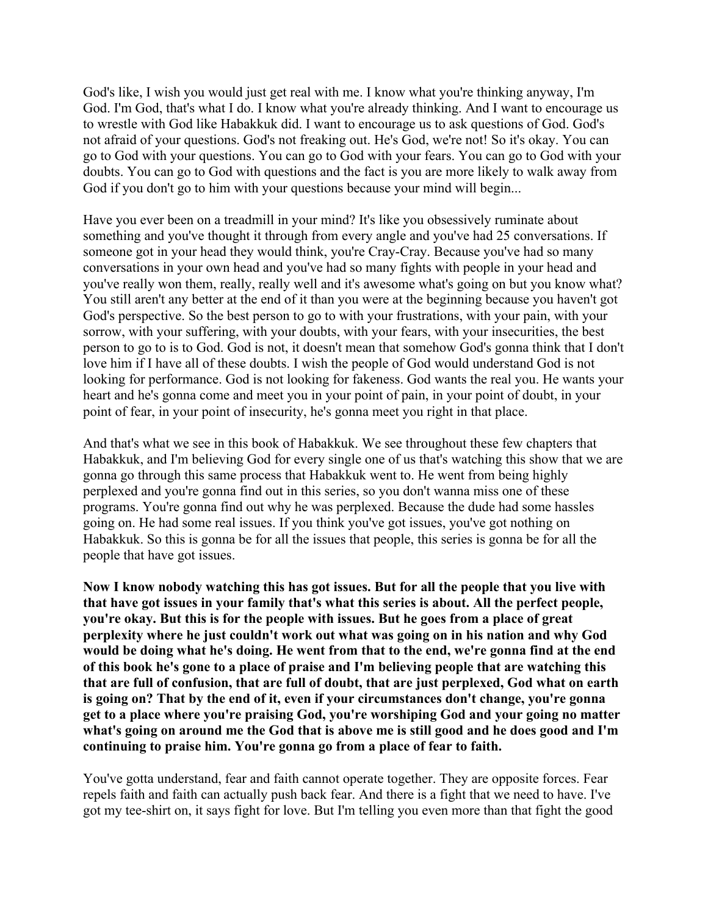God's like, I wish you would just get real with me. I know what you're thinking anyway, I'm God. I'm God, that's what I do. I know what you're already thinking. And I want to encourage us to wrestle with God like Habakkuk did. I want to encourage us to ask questions of God. God's not afraid of your questions. God's not freaking out. He's God, we're not! So it's okay. You can go to God with your questions. You can go to God with your fears. You can go to God with your doubts. You can go to God with questions and the fact is you are more likely to walk away from God if you don't go to him with your questions because your mind will begin...

Have you ever been on a treadmill in your mind? It's like you obsessively ruminate about something and you've thought it through from every angle and you've had 25 conversations. If someone got in your head they would think, you're Cray-Cray. Because you've had so many conversations in your own head and you've had so many fights with people in your head and you've really won them, really, really well and it's awesome what's going on but you know what? You still aren't any better at the end of it than you were at the beginning because you haven't got God's perspective. So the best person to go to with your frustrations, with your pain, with your sorrow, with your suffering, with your doubts, with your fears, with your insecurities, the best person to go to is to God. God is not, it doesn't mean that somehow God's gonna think that I don't love him if I have all of these doubts. I wish the people of God would understand God is not looking for performance. God is not looking for fakeness. God wants the real you. He wants your heart and he's gonna come and meet you in your point of pain, in your point of doubt, in your point of fear, in your point of insecurity, he's gonna meet you right in that place.

And that's what we see in this book of Habakkuk. We see throughout these few chapters that Habakkuk, and I'm believing God for every single one of us that's watching this show that we are gonna go through this same process that Habakkuk went to. He went from being highly perplexed and you're gonna find out in this series, so you don't wanna miss one of these programs. You're gonna find out why he was perplexed. Because the dude had some hassles going on. He had some real issues. If you think you've got issues, you've got nothing on Habakkuk. So this is gonna be for all the issues that people, this series is gonna be for all the people that have got issues.

**Now I know nobody watching this has got issues. But for all the people that you live with that have got issues in your family that's what this series is about. All the perfect people, you're okay. But this is for the people with issues. But he goes from a place of great perplexity where he just couldn't work out what was going on in his nation and why God would be doing what he's doing. He went from that to the end, we're gonna find at the end of this book he's gone to a place of praise and I'm believing people that are watching this that are full of confusion, that are full of doubt, that are just perplexed, God what on earth is going on? That by the end of it, even if your circumstances don't change, you're gonna get to a place where you're praising God, you're worshiping God and your going no matter** what's going on around me the God that is above me is still good and he does good and I'm **continuing to praise him. You're gonna go from a place of fear to faith.**

You've gotta understand, fear and faith cannot operate together. They are opposite forces. Fear repels faith and faith can actually push back fear. And there is a fight that we need to have. I've got my tee-shirt on, it says fight for love. But I'm telling you even more than that fight the good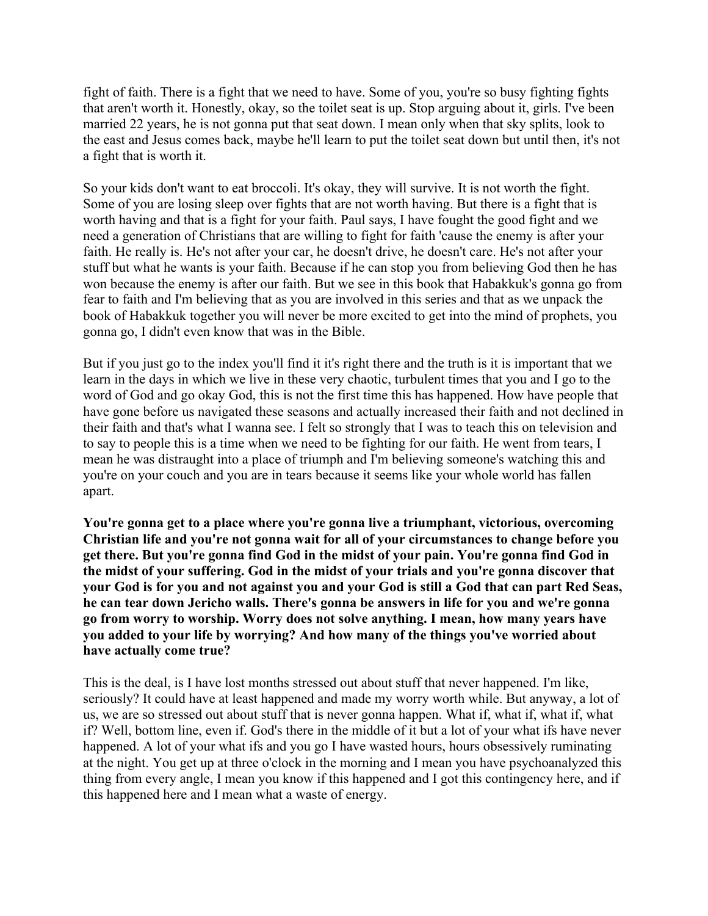fight of faith. There is a fight that we need to have. Some of you, you're so busy fighting fights that aren't worth it. Honestly, okay, so the toilet seat is up. Stop arguing about it, girls. I've been married 22 years, he is not gonna put that seat down. I mean only when that sky splits, look to the east and Jesus comes back, maybe he'll learn to put the toilet seat down but until then, it's not a fight that is worth it.

So your kids don't want to eat broccoli. It's okay, they will survive. It is not worth the fight. Some of you are losing sleep over fights that are not worth having. But there is a fight that is worth having and that is a fight for your faith. Paul says, I have fought the good fight and we need a generation of Christians that are willing to fight for faith 'cause the enemy is after your faith. He really is. He's not after your car, he doesn't drive, he doesn't care. He's not after your stuff but what he wants is your faith. Because if he can stop you from believing God then he has won because the enemy is after our faith. But we see in this book that Habakkuk's gonna go from fear to faith and I'm believing that as you are involved in this series and that as we unpack the book of Habakkuk together you will never be more excited to get into the mind of prophets, you gonna go, I didn't even know that was in the Bible.

But if you just go to the index you'll find it it's right there and the truth is it is important that we learn in the days in which we live in these very chaotic, turbulent times that you and I go to the word of God and go okay God, this is not the first time this has happened. How have people that have gone before us navigated these seasons and actually increased their faith and not declined in their faith and that's what I wanna see. I felt so strongly that I was to teach this on television and to say to people this is a time when we need to be fighting for our faith. He went from tears, I mean he was distraught into a place of triumph and I'm believing someone's watching this and you're on your couch and you are in tears because it seems like your whole world has fallen apart.

**You're gonna get to a place where you're gonna live a triumphant, victorious, overcoming Christian life and you're not gonna wait for all of your circumstances to change before you get there. But you're gonna find God in the midst of your pain. You're gonna find God in the midst of your suffering. God in the midst of your trials and you're gonna discover that** your God is for you and not against you and your God is still a God that can part Red Seas, **he can tear down Jericho walls. There's gonna be answers in life for you and we're gonna go from worry to worship. Worry does not solve anything. I mean, how many years have you added to your life by worrying? And how many of the things you've worried about have actually come true?**

This is the deal, is I have lost months stressed out about stuff that never happened. I'm like, seriously? It could have at least happened and made my worry worth while. But anyway, a lot of us, we are so stressed out about stuff that is never gonna happen. What if, what if, what if, what if? Well, bottom line, even if. God's there in the middle of it but a lot of your what ifs have never happened. A lot of your what ifs and you go I have wasted hours, hours obsessively ruminating at the night. You get up at three o'clock in the morning and I mean you have psychoanalyzed this thing from every angle, I mean you know if this happened and I got this contingency here, and if this happened here and I mean what a waste of energy.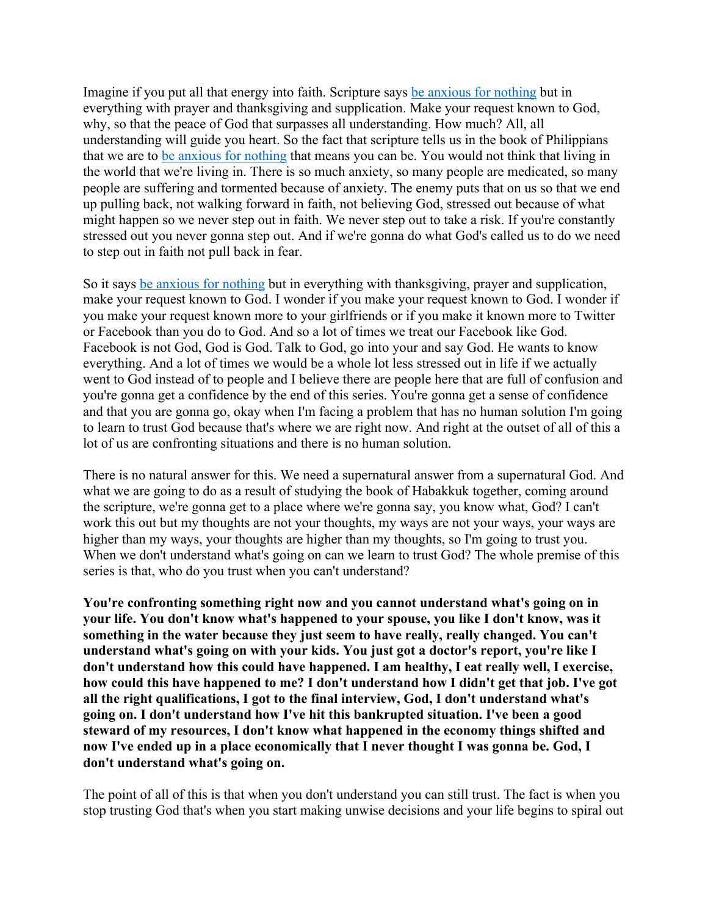Imagine if you put all that energy into faith. Scripture says be anxious for nothing but in everything with prayer and thanksgiving and supplication. Make your request known to God, why, so that the peace of God that surpasses all understanding. How much? All, all understanding will guide you heart. So the fact that scripture tells us in the book of Philippians that we are to be anxious for nothing that means you can be. You would not think that living in the world that we're living in. There is so much anxiety, so many people are medicated, so many people are suffering and tormented because of anxiety. The enemy puts that on us so that we end up pulling back, not walking forward in faith, not believing God, stressed out because of what might happen so we never step out in faith. We never step out to take a risk. If you're constantly stressed out you never gonna step out. And if we're gonna do what God's called us to do we need to step out in faith not pull back in fear.

So it says be anxious for nothing but in everything with thanksgiving, prayer and supplication, make your request known to God. I wonder if you make your request known to God. I wonder if you make your request known more to your girlfriends or if you make it known more to Twitter or Facebook than you do to God. And so a lot of times we treat our Facebook like God. Facebook is not God, God is God. Talk to God, go into your and say God. He wants to know everything. And a lot of times we would be a whole lot less stressed out in life if we actually went to God instead of to people and I believe there are people here that are full of confusion and you're gonna get a confidence by the end of this series. You're gonna get a sense of confidence and that you are gonna go, okay when I'm facing a problem that has no human solution I'm going to learn to trust God because that's where we are right now. And right at the outset of all of this a lot of us are confronting situations and there is no human solution.

There is no natural answer for this. We need a supernatural answer from a supernatural God. And what we are going to do as a result of studying the book of Habakkuk together, coming around the scripture, we're gonna get to a place where we're gonna say, you know what, God? I can't work this out but my thoughts are not your thoughts, my ways are not your ways, your ways are higher than my ways, your thoughts are higher than my thoughts, so I'm going to trust you. When we don't understand what's going on can we learn to trust God? The whole premise of this series is that, who do you trust when you can't understand?

**You're confronting something right now and you cannot understand what's going on in your life. You don't know what's happened to your spouse, you like I don't know, was it something in the water because they just seem to have really, really changed. You can't understand what's going on with your kids. You just got a doctor's report, you're like I don't understand how this could have happened. I am healthy, I eat really well, I exercise, how could this have happened to me? I don't understand how I didn't get that job. I've got all the right qualifications, I got to the final interview, God, I don't understand what's going on. I don't understand how I've hit this bankrupted situation. I've been a good steward of my resources, I don't know what happened in the economy things shifted and now I've ended up in a place economically that I never thought I was gonna be. God, I don't understand what's going on.**

The point of all of this is that when you don't understand you can still trust. The fact is when you stop trusting God that's when you start making unwise decisions and your life begins to spiral out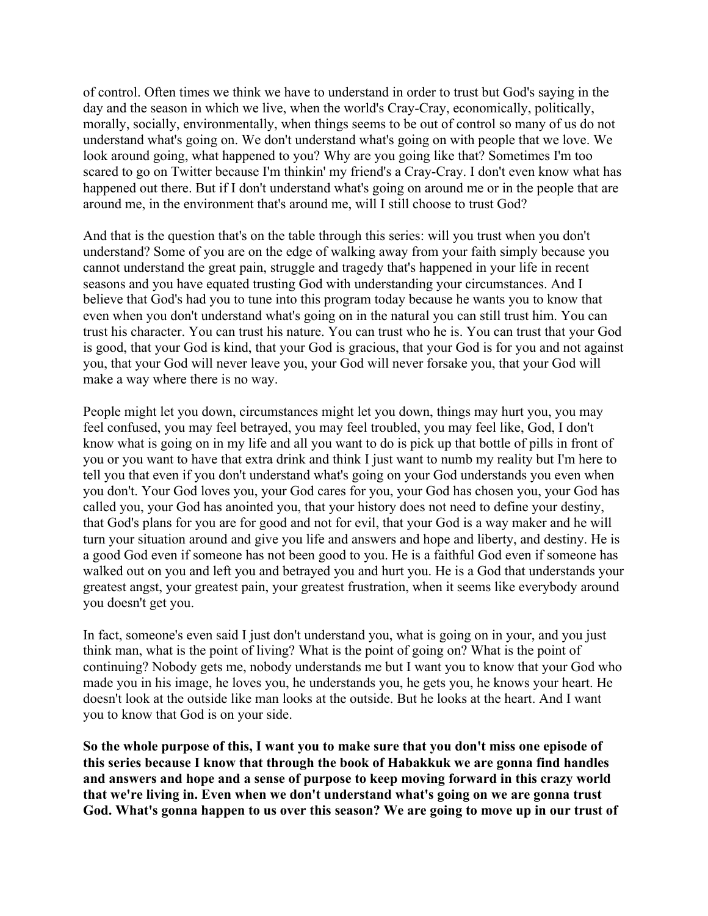of control. Often times we think we have to understand in order to trust but God's saying in the day and the season in which we live, when the world's Cray-Cray, economically, politically, morally, socially, environmentally, when things seems to be out of control so many of us do not understand what's going on. We don't understand what's going on with people that we love. We look around going, what happened to you? Why are you going like that? Sometimes I'm too scared to go on Twitter because I'm thinkin' my friend's a Cray-Cray. I don't even know what has happened out there. But if I don't understand what's going on around me or in the people that are around me, in the environment that's around me, will I still choose to trust God?

And that is the question that's on the table through this series: will you trust when you don't understand? Some of you are on the edge of walking away from your faith simply because you cannot understand the great pain, struggle and tragedy that's happened in your life in recent seasons and you have equated trusting God with understanding your circumstances. And I believe that God's had you to tune into this program today because he wants you to know that even when you don't understand what's going on in the natural you can still trust him. You can trust his character. You can trust his nature. You can trust who he is. You can trust that your God is good, that your God is kind, that your God is gracious, that your God is for you and not against you, that your God will never leave you, your God will never forsake you, that your God will make a way where there is no way.

People might let you down, circumstances might let you down, things may hurt you, you may feel confused, you may feel betrayed, you may feel troubled, you may feel like, God, I don't know what is going on in my life and all you want to do is pick up that bottle of pills in front of you or you want to have that extra drink and think I just want to numb my reality but I'm here to tell you that even if you don't understand what's going on your God understands you even when you don't. Your God loves you, your God cares for you, your God has chosen you, your God has called you, your God has anointed you, that your history does not need to define your destiny, that God's plans for you are for good and not for evil, that your God is a way maker and he will turn your situation around and give you life and answers and hope and liberty, and destiny. He is a good God even if someone has not been good to you. He is a faithful God even if someone has walked out on you and left you and betrayed you and hurt you. He is a God that understands your greatest angst, your greatest pain, your greatest frustration, when it seems like everybody around you doesn't get you.

In fact, someone's even said I just don't understand you, what is going on in your, and you just think man, what is the point of living? What is the point of going on? What is the point of continuing? Nobody gets me, nobody understands me but I want you to know that your God who made you in his image, he loves you, he understands you, he gets you, he knows your heart. He doesn't look at the outside like man looks at the outside. But he looks at the heart. And I want you to know that God is on your side.

**So the whole purpose of this, I want you to make sure that you don't miss one episode of this series because I know that through the book of Habakkuk we are gonna find handles and answers and hope and a sense of purpose to keep moving forward in this crazy world that we're living in. Even when we don't understand what's going on we are gonna trust God. What's gonna happen to us over this season? We are going to move up in our trust of**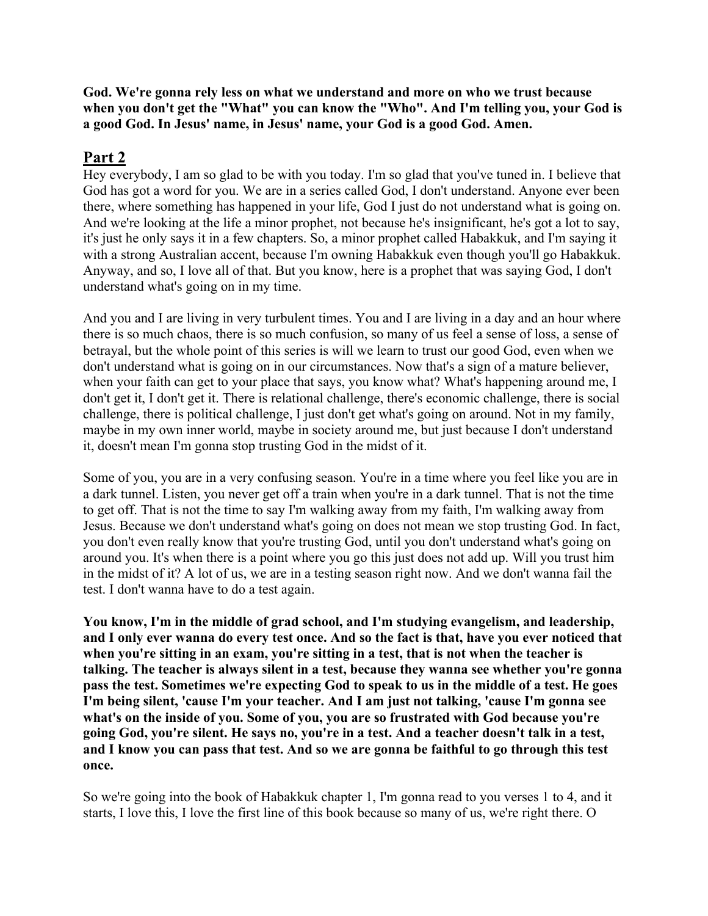**God. We're gonna rely less on what we understand and more on who we trust because when you don't get the "What" you can know the "Who". And I'm telling you, your God is a good God. In Jesus' name, in Jesus' name, your God is a good God. Amen.**

## **Part 2**

Hey everybody, I am so glad to be with you today. I'm so glad that you've tuned in. I believe that God has got a word for you. We are in a series called God, I don't understand. Anyone ever been there, where something has happened in your life, God I just do not understand what is going on. And we're looking at the life a minor prophet, not because he's insignificant, he's got a lot to say, it's just he only says it in a few chapters. So, a minor prophet called Habakkuk, and I'm saying it with a strong Australian accent, because I'm owning Habakkuk even though you'll go Habakkuk. Anyway, and so, I love all of that. But you know, here is a prophet that was saying God, I don't understand what's going on in my time.

And you and I are living in very turbulent times. You and I are living in a day and an hour where there is so much chaos, there is so much confusion, so many of us feel a sense of loss, a sense of betrayal, but the whole point of this series is will we learn to trust our good God, even when we don't understand what is going on in our circumstances. Now that's a sign of a mature believer, when your faith can get to your place that says, you know what? What's happening around me, I don't get it, I don't get it. There is relational challenge, there's economic challenge, there is social challenge, there is political challenge, I just don't get what's going on around. Not in my family, maybe in my own inner world, maybe in society around me, but just because I don't understand it, doesn't mean I'm gonna stop trusting God in the midst of it.

Some of you, you are in a very confusing season. You're in a time where you feel like you are in a dark tunnel. Listen, you never get off a train when you're in a dark tunnel. That is not the time to get off. That is not the time to say I'm walking away from my faith, I'm walking away from Jesus. Because we don't understand what's going on does not mean we stop trusting God. In fact, you don't even really know that you're trusting God, until you don't understand what's going on around you. It's when there is a point where you go this just does not add up. Will you trust him in the midst of it? A lot of us, we are in a testing season right now. And we don't wanna fail the test. I don't wanna have to do a test again.

**You know, I'm in the middle of grad school, and I'm studying evangelism, and leadership,** and I only ever wanna do every test once. And so the fact is that, have you ever noticed that **when you're sitting in an exam, you're sitting in a test, that is not when the teacher is talking. The teacher is always silent in a test, because they wanna see whether you're gonna** pass the test. Sometimes we're expecting God to speak to us in the middle of a test. He goes **I'm being silent, 'cause I'm your teacher. And I am just not talking, 'cause I'm gonna see what's on the inside of you. Some of you, you are so frustrated with God because you're** going God, you're silent. He says no, you're in a test. And a teacher doesn't talk in a test, and I know you can pass that test. And so we are gonna be faithful to go through this test **once.**

So we're going into the book of Habakkuk chapter 1, I'm gonna read to you verses 1 to 4, and it starts, I love this, I love the first line of this book because so many of us, we're right there. O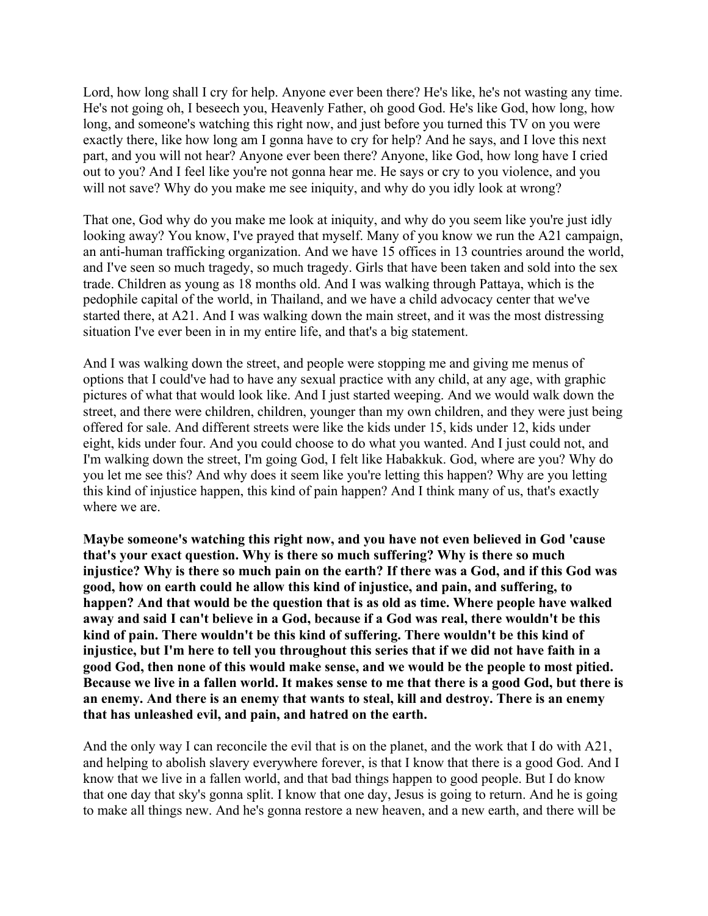Lord, how long shall I cry for help. Anyone ever been there? He's like, he's not wasting any time. He's not going oh, I beseech you, Heavenly Father, oh good God. He's like God, how long, how long, and someone's watching this right now, and just before you turned this TV on you were exactly there, like how long am I gonna have to cry for help? And he says, and I love this next part, and you will not hear? Anyone ever been there? Anyone, like God, how long have I cried out to you? And I feel like you're not gonna hear me. He says or cry to you violence, and you will not save? Why do you make me see iniquity, and why do you idly look at wrong?

That one, God why do you make me look at iniquity, and why do you seem like you're just idly looking away? You know, I've prayed that myself. Many of you know we run the A21 campaign, an anti-human trafficking organization. And we have 15 offices in 13 countries around the world, and I've seen so much tragedy, so much tragedy. Girls that have been taken and sold into the sex trade. Children as young as 18 months old. And I was walking through Pattaya, which is the pedophile capital of the world, in Thailand, and we have a child advocacy center that we've started there, at A21. And I was walking down the main street, and it was the most distressing situation I've ever been in in my entire life, and that's a big statement.

And I was walking down the street, and people were stopping me and giving me menus of options that I could've had to have any sexual practice with any child, at any age, with graphic pictures of what that would look like. And I just started weeping. And we would walk down the street, and there were children, children, younger than my own children, and they were just being offered for sale. And different streets were like the kids under 15, kids under 12, kids under eight, kids under four. And you could choose to do what you wanted. And I just could not, and I'm walking down the street, I'm going God, I felt like Habakkuk. God, where are you? Why do you let me see this? And why does it seem like you're letting this happen? Why are you letting this kind of injustice happen, this kind of pain happen? And I think many of us, that's exactly where we are.

**Maybe someone's watching this right now, and you have not even believed in God 'cause that's your exact question. Why is there so much suffering? Why is there so much** injustice? Why is there so much pain on the earth? If there was a God, and if this God was **good, how on earth could he allow this kind of injustice, and pain, and suffering, to happen? And that would be the question that is as old as time. Where people have walked away and said I can't believe in a God, because if a God was real, there wouldn't be this kind of pain. There wouldn't be this kind of suffering. There wouldn't be this kind of** injustice, but I'm here to tell you throughout this series that if we did not have faith in a **good God, then none of this would make sense, and we would be the people to most pitied.** Because we live in a fallen world. It makes sense to me that there is a good God, but there is **an enemy. And there is an enemy that wants to steal, kill and destroy. There is an enemy that has unleashed evil, and pain, and hatred on the earth.**

And the only way I can reconcile the evil that is on the planet, and the work that I do with A21, and helping to abolish slavery everywhere forever, is that I know that there is a good God. And I know that we live in a fallen world, and that bad things happen to good people. But I do know that one day that sky's gonna split. I know that one day, Jesus is going to return. And he is going to make all things new. And he's gonna restore a new heaven, and a new earth, and there will be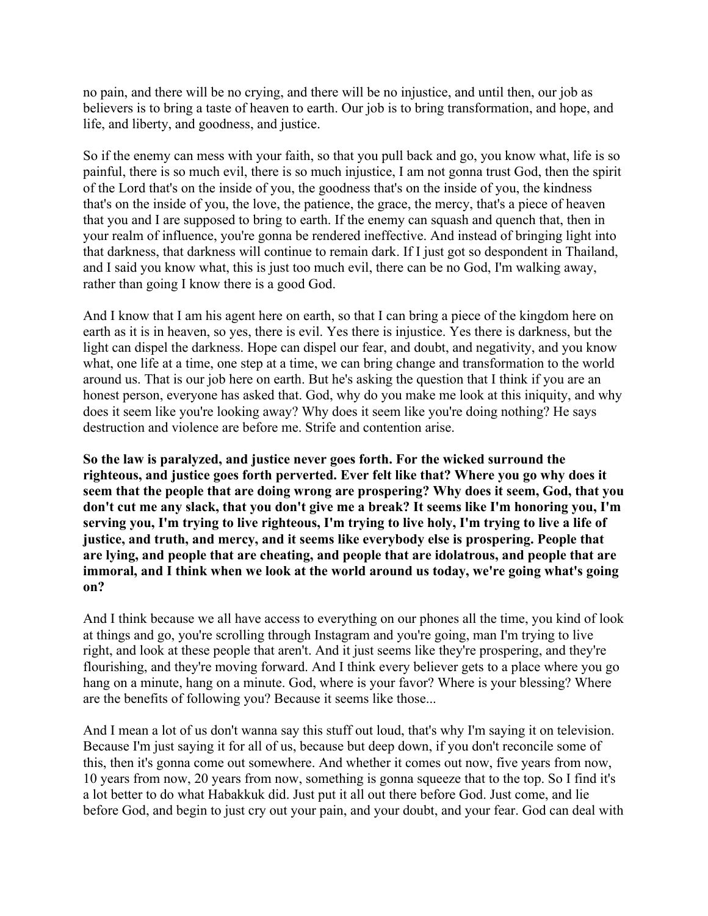no pain, and there will be no crying, and there will be no injustice, and until then, our job as believers is to bring a taste of heaven to earth. Our job is to bring transformation, and hope, and life, and liberty, and goodness, and justice.

So if the enemy can mess with your faith, so that you pull back and go, you know what, life is so painful, there is so much evil, there is so much injustice, I am not gonna trust God, then the spirit of the Lord that's on the inside of you, the goodness that's on the inside of you, the kindness that's on the inside of you, the love, the patience, the grace, the mercy, that's a piece of heaven that you and I are supposed to bring to earth. If the enemy can squash and quench that, then in your realm of influence, you're gonna be rendered ineffective. And instead of bringing light into that darkness, that darkness will continue to remain dark. If I just got so despondent in Thailand, and I said you know what, this is just too much evil, there can be no God, I'm walking away, rather than going I know there is a good God.

And I know that I am his agent here on earth, so that I can bring a piece of the kingdom here on earth as it is in heaven, so yes, there is evil. Yes there is injustice. Yes there is darkness, but the light can dispel the darkness. Hope can dispel our fear, and doubt, and negativity, and you know what, one life at a time, one step at a time, we can bring change and transformation to the world around us. That is our job here on earth. But he's asking the question that I think if you are an honest person, everyone has asked that. God, why do you make me look at this iniquity, and why does it seem like you're looking away? Why does it seem like you're doing nothing? He says destruction and violence are before me. Strife and contention arise.

**So the law is paralyzed, and justice never goes forth. For the wicked surround the righteous, and justice goes forth perverted. Ever felt like that? Where you go why does it seem that the people that are doing wrong are prospering? Why does it seem, God, that you don't cut me any slack, that you don't give me a break? It seems like I'm honoring you, I'm** serving you, I'm trying to live righteous, I'm trying to live holy, I'm trying to live a life of **justice, and truth, and mercy, and it seems like everybody else is prospering. People that are lying, and people that are cheating, and people that are idolatrous, and people that are immoral, and I think when we look at the world around us today, we're going what's going on?**

And I think because we all have access to everything on our phones all the time, you kind of look at things and go, you're scrolling through Instagram and you're going, man I'm trying to live right, and look at these people that aren't. And it just seems like they're prospering, and they're flourishing, and they're moving forward. And I think every believer gets to a place where you go hang on a minute, hang on a minute. God, where is your favor? Where is your blessing? Where are the benefits of following you? Because it seems like those...

And I mean a lot of us don't wanna say this stuff out loud, that's why I'm saying it on television. Because I'm just saying it for all of us, because but deep down, if you don't reconcile some of this, then it's gonna come out somewhere. And whether it comes out now, five years from now, 10 years from now, 20 years from now, something is gonna squeeze that to the top. So I find it's a lot better to do what Habakkuk did. Just put it all out there before God. Just come, and lie before God, and begin to just cry out your pain, and your doubt, and your fear. God can deal with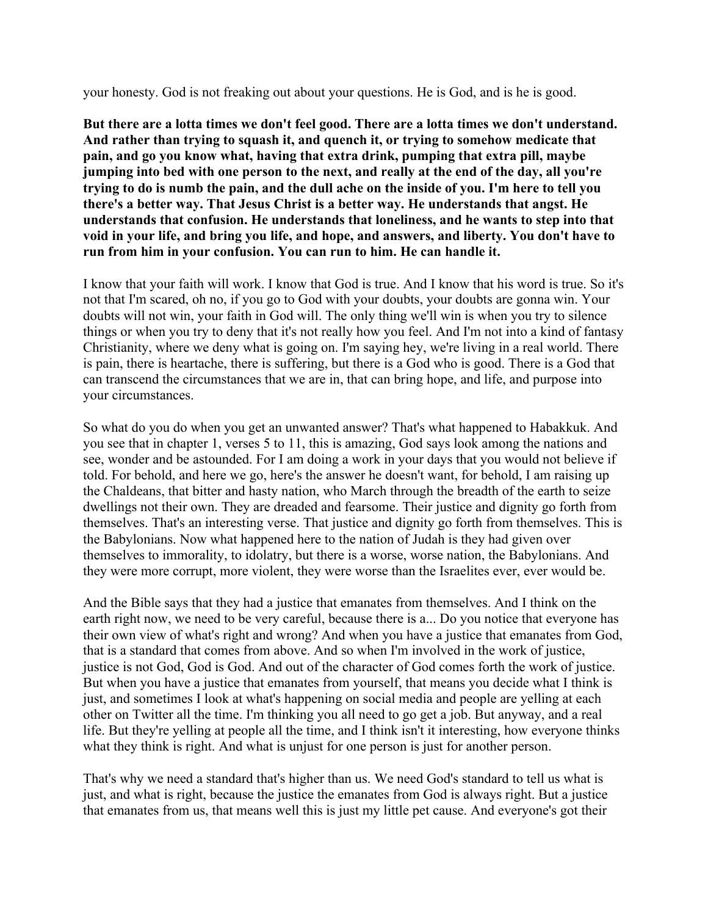your honesty. God is not freaking out about your questions. He is God, and is he is good.

**But there are a lotta times we don't feel good. There are a lotta times we don't understand. And rather than trying to squash it, and quench it, or trying to somehow medicate that pain, and go you know what, having that extra drink, pumping that extra pill, maybe jumping into bed with one person to the next, and really at the end of the day, all you're** trying to do is numb the pain, and the dull ache on the inside of you. I'm here to tell you **there's a better way. That Jesus Christ is a better way. He understands that angst. He understands that confusion. He understands that loneliness, and he wants to step into that void in your life, and bring you life, and hope, and answers, and liberty. You don't have to run from him in your confusion. You can run to him. He can handle it.**

I know that your faith will work. I know that God is true. And I know that his word is true. So it's not that I'm scared, oh no, if you go to God with your doubts, your doubts are gonna win. Your doubts will not win, your faith in God will. The only thing we'll win is when you try to silence things or when you try to deny that it's not really how you feel. And I'm not into a kind of fantasy Christianity, where we deny what is going on. I'm saying hey, we're living in a real world. There is pain, there is heartache, there is suffering, but there is a God who is good. There is a God that can transcend the circumstances that we are in, that can bring hope, and life, and purpose into your circumstances.

So what do you do when you get an unwanted answer? That's what happened to Habakkuk. And you see that in chapter 1, verses 5 to 11, this is amazing, God says look among the nations and see, wonder and be astounded. For I am doing a work in your days that you would not believe if told. For behold, and here we go, here's the answer he doesn't want, for behold, I am raising up the Chaldeans, that bitter and hasty nation, who March through the breadth of the earth to seize dwellings not their own. They are dreaded and fearsome. Their justice and dignity go forth from themselves. That's an interesting verse. That justice and dignity go forth from themselves. This is the Babylonians. Now what happened here to the nation of Judah is they had given over themselves to immorality, to idolatry, but there is a worse, worse nation, the Babylonians. And they were more corrupt, more violent, they were worse than the Israelites ever, ever would be.

And the Bible says that they had a justice that emanates from themselves. And I think on the earth right now, we need to be very careful, because there is a... Do you notice that everyone has their own view of what's right and wrong? And when you have a justice that emanates from God, that is a standard that comes from above. And so when I'm involved in the work of justice, justice is not God, God is God. And out of the character of God comes forth the work of justice. But when you have a justice that emanates from yourself, that means you decide what I think is just, and sometimes I look at what's happening on social media and people are yelling at each other on Twitter all the time. I'm thinking you all need to go get a job. But anyway, and a real life. But they're yelling at people all the time, and I think isn't it interesting, how everyone thinks what they think is right. And what is unjust for one person is just for another person.

That's why we need a standard that's higher than us. We need God's standard to tell us what is just, and what is right, because the justice the emanates from God is always right. But a justice that emanates from us, that means well this is just my little pet cause. And everyone's got their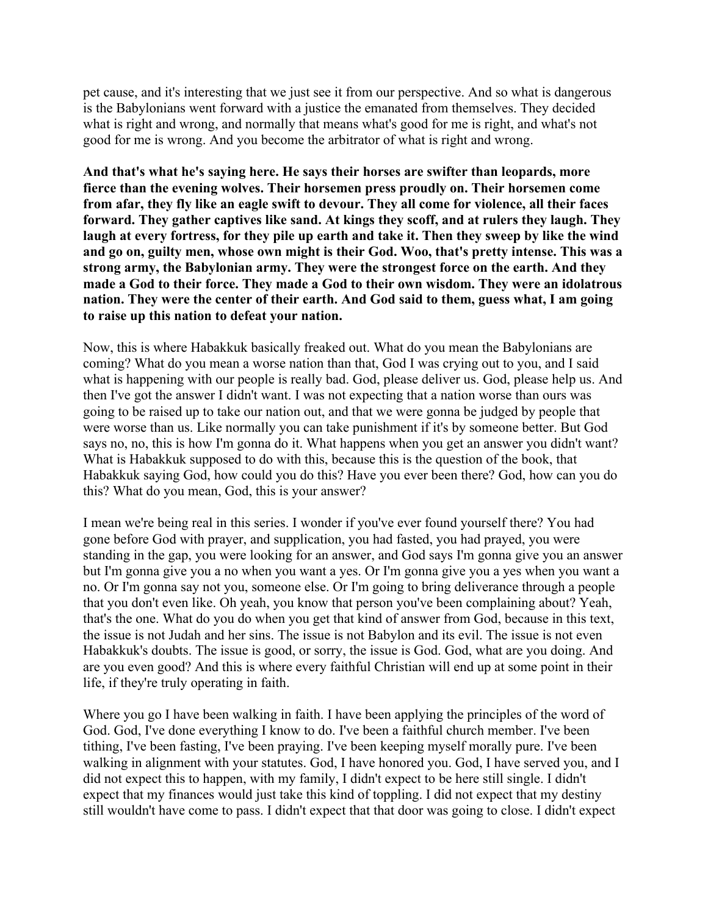pet cause, and it's interesting that we just see it from our perspective. And so what is dangerous is the Babylonians went forward with a justice the emanated from themselves. They decided what is right and wrong, and normally that means what's good for me is right, and what's not good for me is wrong. And you become the arbitrator of what is right and wrong.

**And that's what he's saying here. He says their horses are swifter than leopards, more fierce than the evening wolves. Their horsemen press proudly on. Their horsemen come from afar, they fly like an eagle swift to devour. They all come for violence, all their faces forward. They gather captives like sand. At kings they scoff, and at rulers they laugh. They** laugh at every fortress, for they pile up earth and take it. Then they sweep by like the wind **and go on, guilty men, whose own might is their God. Woo, that's pretty intense. This was a strong army, the Babylonian army. They were the strongest force on the earth. And they made a God to their force. They made a God to their own wisdom. They were an idolatrous nation. They were the center of their earth. And God said to them, guess what, I am going to raise up this nation to defeat your nation.**

Now, this is where Habakkuk basically freaked out. What do you mean the Babylonians are coming? What do you mean a worse nation than that, God I was crying out to you, and I said what is happening with our people is really bad. God, please deliver us. God, please help us. And then I've got the answer I didn't want. I was not expecting that a nation worse than ours was going to be raised up to take our nation out, and that we were gonna be judged by people that were worse than us. Like normally you can take punishment if it's by someone better. But God says no, no, this is how I'm gonna do it. What happens when you get an answer you didn't want? What is Habakkuk supposed to do with this, because this is the question of the book, that Habakkuk saying God, how could you do this? Have you ever been there? God, how can you do this? What do you mean, God, this is your answer?

I mean we're being real in this series. I wonder if you've ever found yourself there? You had gone before God with prayer, and supplication, you had fasted, you had prayed, you were standing in the gap, you were looking for an answer, and God says I'm gonna give you an answer but I'm gonna give you a no when you want a yes. Or I'm gonna give you a yes when you want a no. Or I'm gonna say not you, someone else. Or I'm going to bring deliverance through a people that you don't even like. Oh yeah, you know that person you've been complaining about? Yeah, that's the one. What do you do when you get that kind of answer from God, because in this text, the issue is not Judah and her sins. The issue is not Babylon and its evil. The issue is not even Habakkuk's doubts. The issue is good, or sorry, the issue is God. God, what are you doing. And are you even good? And this is where every faithful Christian will end up at some point in their life, if they're truly operating in faith.

Where you go I have been walking in faith. I have been applying the principles of the word of God. God, I've done everything I know to do. I've been a faithful church member. I've been tithing, I've been fasting, I've been praying. I've been keeping myself morally pure. I've been walking in alignment with your statutes. God, I have honored you. God, I have served you, and I did not expect this to happen, with my family, I didn't expect to be here still single. I didn't expect that my finances would just take this kind of toppling. I did not expect that my destiny still wouldn't have come to pass. I didn't expect that that door was going to close. I didn't expect